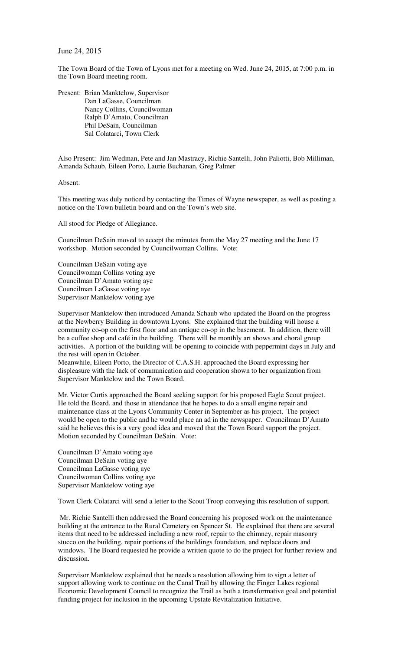## June 24, 2015

The Town Board of the Town of Lyons met for a meeting on Wed. June 24, 2015, at 7:00 p.m. in the Town Board meeting room.

Present: Brian Manktelow, Supervisor Dan LaGasse, Councilman Nancy Collins, Councilwoman Ralph D'Amato, Councilman Phil DeSain, Councilman Sal Colatarci, Town Clerk

Also Present: Jim Wedman, Pete and Jan Mastracy, Richie Santelli, John Paliotti, Bob Milliman, Amanda Schaub, Eileen Porto, Laurie Buchanan, Greg Palmer

Absent:

This meeting was duly noticed by contacting the Times of Wayne newspaper, as well as posting a notice on the Town bulletin board and on the Town's web site.

All stood for Pledge of Allegiance.

Councilman DeSain moved to accept the minutes from the May 27 meeting and the June 17 workshop. Motion seconded by Councilwoman Collins. Vote:

Councilman DeSain voting aye Councilwoman Collins voting aye Councilman D'Amato voting aye Councilman LaGasse voting aye Supervisor Manktelow voting aye

Supervisor Manktelow then introduced Amanda Schaub who updated the Board on the progress at the Newberry Building in downtown Lyons. She explained that the building will house a community co-op on the first floor and an antique co-op in the basement. In addition, there will be a coffee shop and café in the building. There will be monthly art shows and choral group activities. A portion of the building will be opening to coincide with peppermint days in July and the rest will open in October.

Meanwhile, Eileen Porto, the Director of C.A.S.H. approached the Board expressing her displeasure with the lack of communication and cooperation shown to her organization from Supervisor Manktelow and the Town Board.

Mr. Victor Curtis approached the Board seeking support for his proposed Eagle Scout project. He told the Board, and those in attendance that he hopes to do a small engine repair and maintenance class at the Lyons Community Center in September as his project. The project would be open to the public and he would place an ad in the newspaper. Councilman D'Amato said he believes this is a very good idea and moved that the Town Board support the project. Motion seconded by Councilman DeSain. Vote:

Councilman D'Amato voting aye Councilman DeSain voting aye Councilman LaGasse voting aye Councilwoman Collins voting aye Supervisor Manktelow voting aye

Town Clerk Colatarci will send a letter to the Scout Troop conveying this resolution of support.

 Mr. Richie Santelli then addressed the Board concerning his proposed work on the maintenance building at the entrance to the Rural Cemetery on Spencer St. He explained that there are several items that need to be addressed including a new roof, repair to the chimney, repair masonry stucco on the building, repair portions of the buildings foundation, and replace doors and windows. The Board requested he provide a written quote to do the project for further review and discussion.

Supervisor Manktelow explained that he needs a resolution allowing him to sign a letter of support allowing work to continue on the Canal Trail by allowing the Finger Lakes regional Economic Development Council to recognize the Trail as both a transformative goal and potential funding project for inclusion in the upcoming Upstate Revitalization Initiative.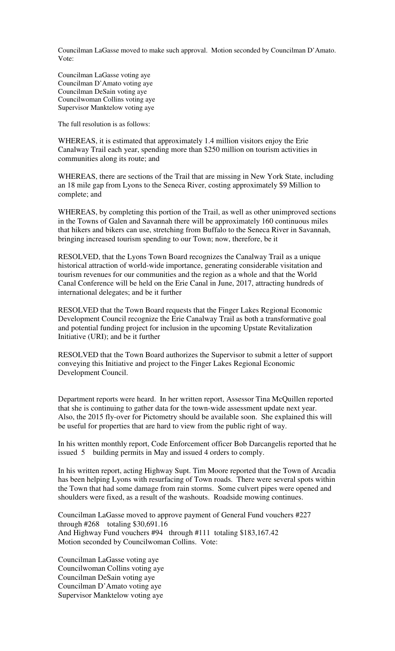Councilman LaGasse moved to make such approval. Motion seconded by Councilman D'Amato. Vote:

Councilman LaGasse voting aye Councilman D'Amato voting aye Councilman DeSain voting aye Councilwoman Collins voting aye Supervisor Manktelow voting aye

The full resolution is as follows:

WHEREAS, it is estimated that approximately 1.4 million visitors enjoy the Erie Canalway Trail each year, spending more than \$250 million on tourism activities in communities along its route; and

WHEREAS, there are sections of the Trail that are missing in New York State, including an 18 mile gap from Lyons to the Seneca River, costing approximately \$9 Million to complete; and

WHEREAS, by completing this portion of the Trail, as well as other unimproved sections in the Towns of Galen and Savannah there will be approximately 160 continuous miles that hikers and bikers can use, stretching from Buffalo to the Seneca River in Savannah, bringing increased tourism spending to our Town; now, therefore, be it

RESOLVED, that the Lyons Town Board recognizes the Canalway Trail as a unique historical attraction of world-wide importance, generating considerable visitation and tourism revenues for our communities and the region as a whole and that the World Canal Conference will be held on the Erie Canal in June, 2017, attracting hundreds of international delegates; and be it further

RESOLVED that the Town Board requests that the Finger Lakes Regional Economic Development Council recognize the Erie Canalway Trail as both a transformative goal and potential funding project for inclusion in the upcoming Upstate Revitalization Initiative (URI); and be it further

RESOLVED that the Town Board authorizes the Supervisor to submit a letter of support conveying this Initiative and project to the Finger Lakes Regional Economic Development Council.

Department reports were heard. In her written report, Assessor Tina McQuillen reported that she is continuing to gather data for the town-wide assessment update next year. Also, the 2015 fly-over for Pictometry should be available soon. She explained this will be useful for properties that are hard to view from the public right of way.

In his written monthly report, Code Enforcement officer Bob Darcangelis reported that he issued 5 building permits in May and issued 4 orders to comply.

In his written report, acting Highway Supt. Tim Moore reported that the Town of Arcadia has been helping Lyons with resurfacing of Town roads. There were several spots within the Town that had some damage from rain storms. Some culvert pipes were opened and shoulders were fixed, as a result of the washouts. Roadside mowing continues.

Councilman LaGasse moved to approve payment of General Fund vouchers #227 through  $\text{\#268}$  totaling \$30,691.16 And Highway Fund vouchers #94 through #111 totaling \$183,167.42 Motion seconded by Councilwoman Collins. Vote:

Councilman LaGasse voting aye Councilwoman Collins voting aye Councilman DeSain voting aye Councilman D'Amato voting aye Supervisor Manktelow voting aye